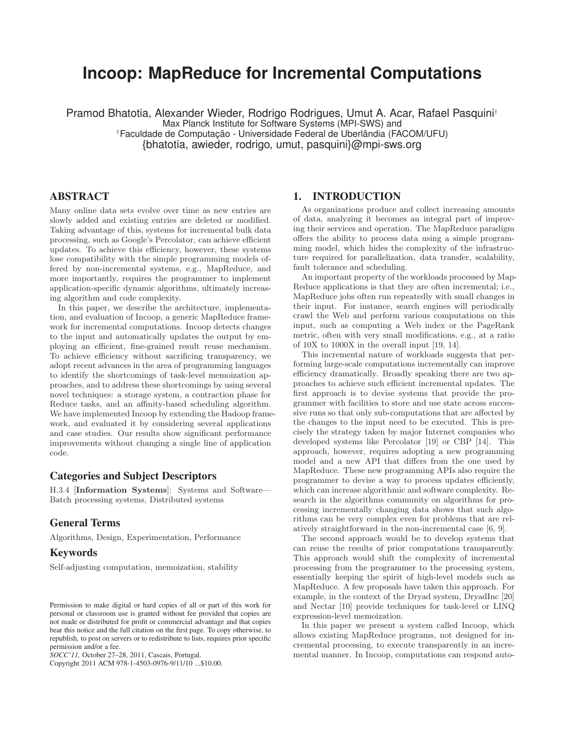# **Incoop: MapReduce for Incremental Computations**

Pramod Bhatotia, Alexander Wieder, Rodrigo Rodrigues, Umut A. Acar, Rafael Pasquini† Max Planck Institute for Software Systems (MPI-SWS) and †Faculdade de Computação - Universidade Federal de Uberlândia (FACOM/UFU) {bhatotia, awieder, rodrigo, umut, pasquini}@mpi-sws.org

# **ABSTRACT**

Many online data sets evolve over time as new entries are slowly added and existing entries are deleted or modified. Taking advantage of this, systems for incremental bulk data processing, such as Google's Percolator, can achieve efficient updates. To achieve this efficiency, however, these systems lose compatibility with the simple programming models offered by non-incremental systems, e.g., MapReduce, and more importantly, requires the programmer to implement application-specific dynamic algorithms, ultimately increasing algorithm and code complexity.

In this paper, we describe the architecture, implementation, and evaluation of Incoop, a generic MapReduce framework for incremental computations. Incoop detects changes to the input and automatically updates the output by employing an efficient, fine-grained result reuse mechanism. To achieve efficiency without sacrificing transparency, we adopt recent advances in the area of programming languages to identify the shortcomings of task-level memoization approaches, and to address these shortcomings by using several novel techniques: a storage system, a contraction phase for Reduce tasks, and an affinity-based scheduling algorithm. We have implemented Incoop by extending the Hadoop framework, and evaluated it by considering several applications and case studies. Our results show significant performance improvements without changing a single line of application code.

#### **Categories and Subject Descriptors**

H.3.4 [Information Systems]: Systems and Software— Batch processing systems, Distributed systems

# **General Terms**

Algorithms, Design, Experimentation, Performance

#### **Keywords**

Self-adjusting computation, memoization, stability

Copyright 2011 ACM 978-1-4503-0976-9/11/10 ...\$10.00.

# **1. INTRODUCTION**

As organizations produce and collect increasing amounts of data, analyzing it becomes an integral part of improving their services and operation. The MapReduce paradigm offers the ability to process data using a simple programming model, which hides the complexity of the infrastructure required for parallelization, data transfer, scalability, fault tolerance and scheduling.

An important property of the workloads processed by Map-Reduce applications is that they are often incremental; i.e., MapReduce jobs often run repeatedly with small changes in their input. For instance, search engines will periodically crawl the Web and perform various computations on this input, such as computing a Web index or the PageRank metric, often with very small modifications, e.g., at a ratio of 10X to 1000X in the overall input [19, 14].

This incremental nature of workloads suggests that performing large-scale computations incrementally can improve efficiency dramatically. Broadly speaking there are two approaches to achieve such efficient incremental updates. The first approach is to devise systems that provide the programmer with facilities to store and use state across successive runs so that only sub-computations that are affected by the changes to the input need to be executed. This is precisely the strategy taken by major Internet companies who developed systems like Percolator [19] or CBP [14]. This approach, however, requires adopting a new programming model and a new API that differs from the one used by MapReduce. These new programming APIs also require the programmer to devise a way to process updates efficiently, which can increase algorithmic and software complexity. Research in the algorithms community on algorithms for processing incrementally changing data shows that such algorithms can be very complex even for problems that are relatively straightforward in the non-incremental case [6, 9].

The second approach would be to develop systems that can reuse the results of prior computations transparently. This approach would shift the complexity of incremental processing from the programmer to the processing system, essentially keeping the spirit of high-level models such as MapReduce. A few proposals have taken this approach. For example, in the context of the Dryad system, DryadInc [20] and Nectar [10] provide techniques for task-level or LINQ expression-level memoization.

In this paper we present a system called Incoop, which allows existing MapReduce programs, not designed for incremental processing, to execute transparently in an incremental manner. In Incoop, computations can respond auto-

Permission to make digital or hard copies of all or part of this work for personal or classroom use is granted without fee provided that copies are not made or distributed for profit or commercial advantage and that copies bear this notice and the full citation on the first page. To copy otherwise, to republish, to post on servers or to redistribute to lists, requires prior specific permission and/or a fee.

*SOCC'11,* October 27–28, 2011, Cascais, Portugal.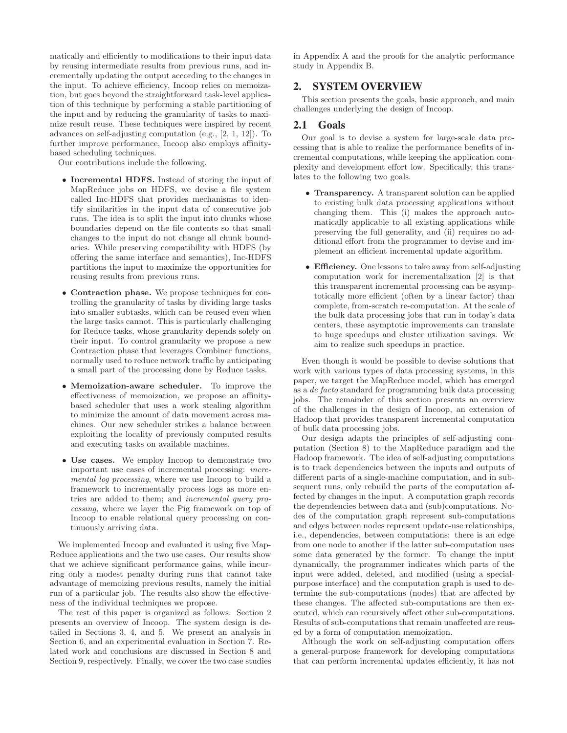matically and efficiently to modifications to their input data by reusing intermediate results from previous runs, and incrementally updating the output according to the changes in the input. To achieve efficiency, Incoop relies on memoization, but goes beyond the straightforward task-level application of this technique by performing a stable partitioning of the input and by reducing the granularity of tasks to maximize result reuse. These techniques were inspired by recent advances on self-adjusting computation (e.g., [2, 1, 12]). To further improve performance, Incoop also employs affinitybased scheduling techniques.

Our contributions include the following.

- Incremental HDFS. Instead of storing the input of MapReduce jobs on HDFS, we devise a file system called Inc-HDFS that provides mechanisms to identify similarities in the input data of consecutive job runs. The idea is to split the input into chunks whose boundaries depend on the file contents so that small changes to the input do not change all chunk boundaries. While preserving compatibility with HDFS (by offering the same interface and semantics), Inc-HDFS partitions the input to maximize the opportunities for reusing results from previous runs.
- Contraction phase. We propose techniques for controlling the granularity of tasks by dividing large tasks into smaller subtasks, which can be reused even when the large tasks cannot. This is particularly challenging for Reduce tasks, whose granularity depends solely on their input. To control granularity we propose a new Contraction phase that leverages Combiner functions, normally used to reduce network traffic by anticipating a small part of the processing done by Reduce tasks.
- Memoization-aware scheduler. To improve the effectiveness of memoization, we propose an affinitybased scheduler that uses a work stealing algorithm to minimize the amount of data movement across machines. Our new scheduler strikes a balance between exploiting the locality of previously computed results and executing tasks on available machines.
- Use cases. We employ Incoop to demonstrate two important use cases of incremental processing: incremental log processing, where we use Incoop to build a framework to incrementally process logs as more entries are added to them; and incremental query processing, where we layer the Pig framework on top of Incoop to enable relational query processing on continuously arriving data.

We implemented Incoop and evaluated it using five Map-Reduce applications and the two use cases. Our results show that we achieve significant performance gains, while incurring only a modest penalty during runs that cannot take advantage of memoizing previous results, namely the initial run of a particular job. The results also show the effectiveness of the individual techniques we propose.

The rest of this paper is organized as follows. Section 2 presents an overview of Incoop. The system design is detailed in Sections 3, 4, and 5. We present an analysis in Section 6, and an experimental evaluation in Section 7. Related work and conclusions are discussed in Section 8 and Section 9, respectively. Finally, we cover the two case studies in Appendix A and the proofs for the analytic performance study in Appendix B.

# **2. SYSTEM OVERVIEW**

This section presents the goals, basic approach, and main challenges underlying the design of Incoop.

## **2.1 Goals**

Our goal is to devise a system for large-scale data processing that is able to realize the performance benefits of incremental computations, while keeping the application complexity and development effort low. Specifically, this translates to the following two goals.

- Transparency. A transparent solution can be applied to existing bulk data processing applications without changing them. This (i) makes the approach automatically applicable to all existing applications while preserving the full generality, and (ii) requires no additional effort from the programmer to devise and implement an efficient incremental update algorithm.
- Efficiency. One lessons to take away from self-adjusting computation work for incrementalization [2] is that this transparent incremental processing can be asymptotically more efficient (often by a linear factor) than complete, from-scratch re-computation. At the scale of the bulk data processing jobs that run in today's data centers, these asymptotic improvements can translate to huge speedups and cluster utilization savings. We aim to realize such speedups in practice.

Even though it would be possible to devise solutions that work with various types of data processing systems, in this paper, we target the MapReduce model, which has emerged as a de facto standard for programming bulk data processing jobs. The remainder of this section presents an overview of the challenges in the design of Incoop, an extension of Hadoop that provides transparent incremental computation of bulk data processing jobs.

Our design adapts the principles of self-adjusting computation (Section 8) to the MapReduce paradigm and the Hadoop framework. The idea of self-adjusting computations is to track dependencies between the inputs and outputs of different parts of a single-machine computation, and in subsequent runs, only rebuild the parts of the computation affected by changes in the input. A computation graph records the dependencies between data and (sub)computations. Nodes of the computation graph represent sub-computations and edges between nodes represent update-use relationships, i.e., dependencies, between computations: there is an edge from one node to another if the latter sub-computation uses some data generated by the former. To change the input dynamically, the programmer indicates which parts of the input were added, deleted, and modified (using a specialpurpose interface) and the computation graph is used to determine the sub-computations (nodes) that are affected by these changes. The affected sub-computations are then executed, which can recursively affect other sub-computations. Results of sub-computations that remain unaffected are reused by a form of computation memoization.

Although the work on self-adjusting computation offers a general-purpose framework for developing computations that can perform incremental updates efficiently, it has not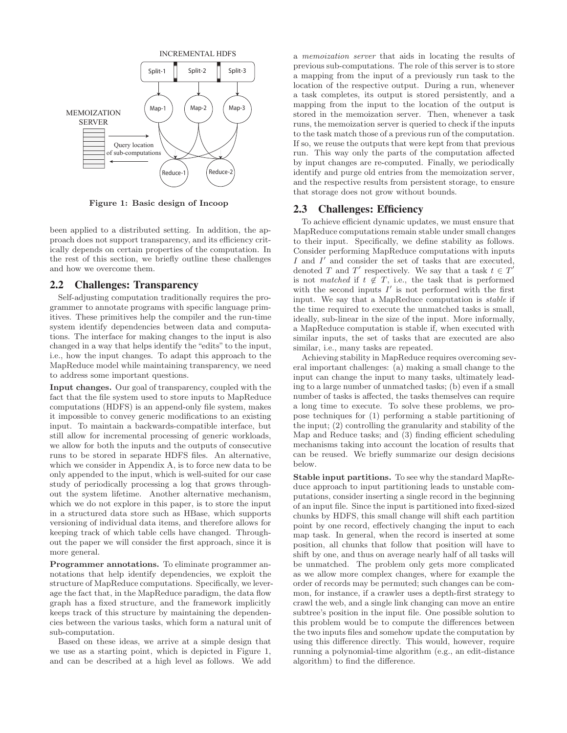

Figure 1: Basic design of Incoop

been applied to a distributed setting. In addition, the approach does not support transparency, and its efficiency critically depends on certain properties of the computation. In the rest of this section, we briefly outline these challenges and how we overcome them.

#### **2.2 Challenges: Transparency**

Self-adjusting computation traditionally requires the programmer to annotate programs with specific language primitives. These primitives help the compiler and the run-time system identify dependencies between data and computations. The interface for making changes to the input is also changed in a way that helps identify the "edits" to the input, i.e., how the input changes. To adapt this approach to the MapReduce model while maintaining transparency, we need to address some important questions.

Input changes. Our goal of transparency, coupled with the fact that the file system used to store inputs to MapReduce computations (HDFS) is an append-only file system, makes it impossible to convey generic modifications to an existing input. To maintain a backwards-compatible interface, but still allow for incremental processing of generic workloads, we allow for both the inputs and the outputs of consecutive runs to be stored in separate HDFS files. An alternative, which we consider in Appendix A, is to force new data to be only appended to the input, which is well-suited for our case study of periodically processing a log that grows throughout the system lifetime. Another alternative mechanism, which we do not explore in this paper, is to store the input in a structured data store such as HBase, which supports versioning of individual data items, and therefore allows for keeping track of which table cells have changed. Throughout the paper we will consider the first approach, since it is more general.

Programmer annotations. To eliminate programmer annotations that help identify dependencies, we exploit the structure of MapReduce computations. Specifically, we leverage the fact that, in the MapReduce paradigm, the data flow graph has a fixed structure, and the framework implicitly keeps track of this structure by maintaining the dependencies between the various tasks, which form a natural unit of sub-computation.

Based on these ideas, we arrive at a simple design that we use as a starting point, which is depicted in Figure 1, and can be described at a high level as follows. We add

a memoization server that aids in locating the results of previous sub-computations. The role of this server is to store a mapping from the input of a previously run task to the location of the respective output. During a run, whenever a task completes, its output is stored persistently, and a mapping from the input to the location of the output is stored in the memoization server. Then, whenever a task runs, the memoization server is queried to check if the inputs to the task match those of a previous run of the computation. If so, we reuse the outputs that were kept from that previous run. This way only the parts of the computation affected by input changes are re-computed. Finally, we periodically identify and purge old entries from the memoization server, and the respective results from persistent storage, to ensure that storage does not grow without bounds.

### **2.3 Challenges: Efficiency**

To achieve efficient dynamic updates, we must ensure that MapReduce computations remain stable under small changes to their input. Specifically, we define stability as follows. Consider performing MapReduce computations with inputs  $I$  and  $I'$  and consider the set of tasks that are executed, denoted T and T' respectively. We say that a task  $t \in T'$ is not matched if  $t \notin T$ , i.e., the task that is performed with the second inputs  $I'$  is not performed with the first input. We say that a MapReduce computation is stable if the time required to execute the unmatched tasks is small, ideally, sub-linear in the size of the input. More informally, a MapReduce computation is stable if, when executed with similar inputs, the set of tasks that are executed are also similar, i.e., many tasks are repeated.

Achieving stability in MapReduce requires overcoming several important challenges: (a) making a small change to the input can change the input to many tasks, ultimately leading to a large number of unmatched tasks; (b) even if a small number of tasks is affected, the tasks themselves can require a long time to execute. To solve these problems, we propose techniques for (1) performing a stable partitioning of the input; (2) controlling the granularity and stability of the Map and Reduce tasks; and (3) finding efficient scheduling mechanisms taking into account the location of results that can be reused. We briefly summarize our design decisions below.

Stable input partitions. To see why the standard MapReduce approach to input partitioning leads to unstable computations, consider inserting a single record in the beginning of an input file. Since the input is partitioned into fixed-sized chunks by HDFS, this small change will shift each partition point by one record, effectively changing the input to each map task. In general, when the record is inserted at some position, all chunks that follow that position will have to shift by one, and thus on average nearly half of all tasks will be unmatched. The problem only gets more complicated as we allow more complex changes, where for example the order of records may be permuted; such changes can be common, for instance, if a crawler uses a depth-first strategy to crawl the web, and a single link changing can move an entire subtree's position in the input file. One possible solution to this problem would be to compute the differences between the two inputs files and somehow update the computation by using this difference directly. This would, however, require running a polynomial-time algorithm (e.g., an edit-distance algorithm) to find the difference.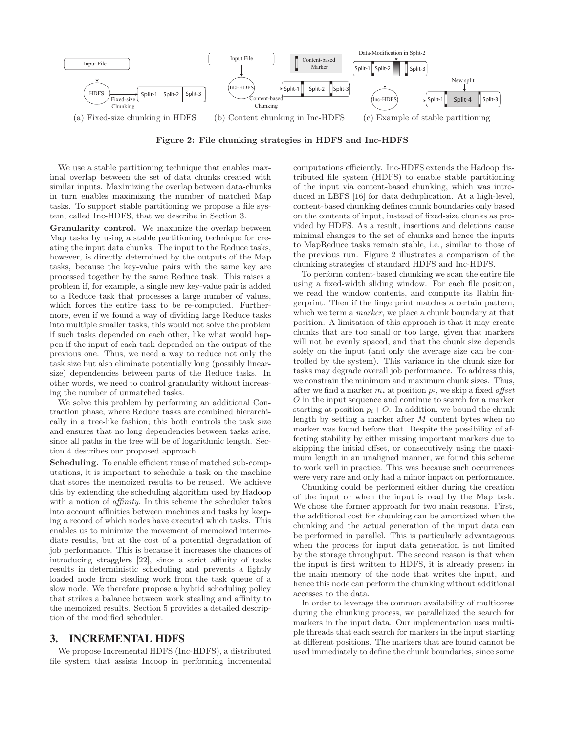

Figure 2: File chunking strategies in HDFS and Inc-HDFS

We use a stable partitioning technique that enables maximal overlap between the set of data chunks created with similar inputs. Maximizing the overlap between data-chunks in turn enables maximizing the number of matched Map tasks. To support stable partitioning we propose a file system, called Inc-HDFS, that we describe in Section 3.

Granularity control. We maximize the overlap between Map tasks by using a stable partitioning technique for creating the input data chunks. The input to the Reduce tasks, however, is directly determined by the outputs of the Map tasks, because the key-value pairs with the same key are processed together by the same Reduce task. This raises a problem if, for example, a single new key-value pair is added to a Reduce task that processes a large number of values, which forces the entire task to be re-computed. Furthermore, even if we found a way of dividing large Reduce tasks into multiple smaller tasks, this would not solve the problem if such tasks depended on each other, like what would happen if the input of each task depended on the output of the previous one. Thus, we need a way to reduce not only the task size but also eliminate potentially long (possibly linearsize) dependencies between parts of the Reduce tasks. In other words, we need to control granularity without increasing the number of unmatched tasks.

We solve this problem by performing an additional Contraction phase, where Reduce tasks are combined hierarchically in a tree-like fashion; this both controls the task size and ensures that no long dependencies between tasks arise, since all paths in the tree will be of logarithmic length. Section 4 describes our proposed approach.

Scheduling. To enable efficient reuse of matched sub-computations, it is important to schedule a task on the machine that stores the memoized results to be reused. We achieve this by extending the scheduling algorithm used by Hadoop with a notion of *affinity*. In this scheme the scheduler takes into account affinities between machines and tasks by keeping a record of which nodes have executed which tasks. This enables us to minimize the movement of memoized intermediate results, but at the cost of a potential degradation of job performance. This is because it increases the chances of introducing stragglers [22], since a strict affinity of tasks results in deterministic scheduling and prevents a lightly loaded node from stealing work from the task queue of a slow node. We therefore propose a hybrid scheduling policy that strikes a balance between work stealing and affinity to the memoized results. Section 5 provides a detailed description of the modified scheduler.

# **3. INCREMENTAL HDFS**

We propose Incremental HDFS (Inc-HDFS), a distributed file system that assists Incoop in performing incremental

computations efficiently. Inc-HDFS extends the Hadoop distributed file system (HDFS) to enable stable partitioning of the input via content-based chunking, which was introduced in LBFS [16] for data deduplication. At a high-level, content-based chunking defines chunk boundaries only based on the contents of input, instead of fixed-size chunks as provided by HDFS. As a result, insertions and deletions cause minimal changes to the set of chunks and hence the inputs to MapReduce tasks remain stable, i.e., similar to those of the previous run. Figure 2 illustrates a comparison of the chunking strategies of standard HDFS and Inc-HDFS.

To perform content-based chunking we scan the entire file using a fixed-width sliding window. For each file position, we read the window contents, and compute its Rabin fingerprint. Then if the fingerprint matches a certain pattern, which we term a *marker*, we place a chunk boundary at that position. A limitation of this approach is that it may create chunks that are too small or too large, given that markers will not be evenly spaced, and that the chunk size depends solely on the input (and only the average size can be controlled by the system). This variance in the chunk size for tasks may degrade overall job performance. To address this, we constrain the minimum and maximum chunk sizes. Thus, after we find a marker  $m_i$  at position  $p_i$ , we skip a fixed offset O in the input sequence and continue to search for a marker starting at position  $p_i + O$ . In addition, we bound the chunk length by setting a marker after M content bytes when no marker was found before that. Despite the possibility of affecting stability by either missing important markers due to skipping the initial offset, or consecutively using the maximum length in an unaligned manner, we found this scheme to work well in practice. This was because such occurrences were very rare and only had a minor impact on performance.

Chunking could be performed either during the creation of the input or when the input is read by the Map task. We chose the former approach for two main reasons. First, the additional cost for chunking can be amortized when the chunking and the actual generation of the input data can be performed in parallel. This is particularly advantageous when the process for input data generation is not limited by the storage throughput. The second reason is that when the input is first written to HDFS, it is already present in the main memory of the node that writes the input, and hence this node can perform the chunking without additional accesses to the data.

In order to leverage the common availability of multicores during the chunking process, we parallelized the search for markers in the input data. Our implementation uses multiple threads that each search for markers in the input starting at different positions. The markers that are found cannot be used immediately to define the chunk boundaries, since some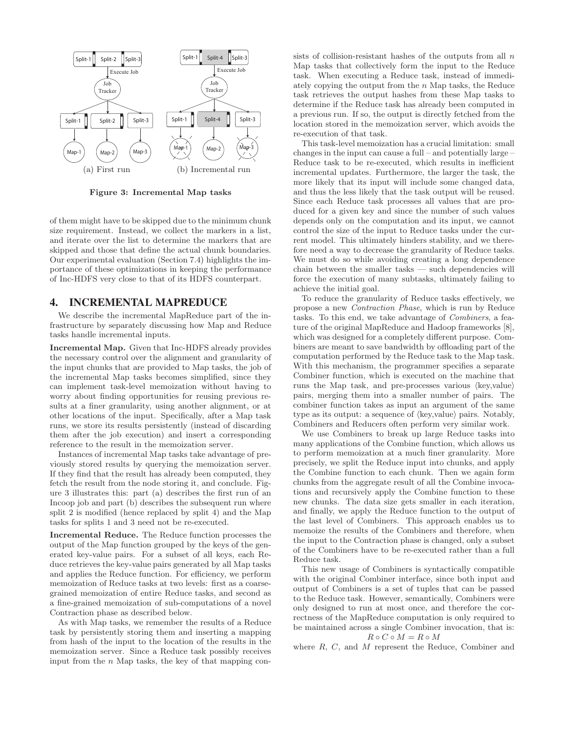

Figure 3: Incremental Map tasks

of them might have to be skipped due to the minimum chunk size requirement. Instead, we collect the markers in a list, and iterate over the list to determine the markers that are skipped and those that define the actual chunk boundaries. Our experimental evaluation (Section 7.4) highlights the importance of these optimizations in keeping the performance of Inc-HDFS very close to that of its HDFS counterpart.

# **4. INCREMENTAL MAPREDUCE**

We describe the incremental MapReduce part of the infrastructure by separately discussing how Map and Reduce tasks handle incremental inputs.

Incremental Map. Given that Inc-HDFS already provides the necessary control over the alignment and granularity of the input chunks that are provided to Map tasks, the job of the incremental Map tasks becomes simplified, since they can implement task-level memoization without having to worry about finding opportunities for reusing previous results at a finer granularity, using another alignment, or at other locations of the input. Specifically, after a Map task runs, we store its results persistently (instead of discarding them after the job execution) and insert a corresponding reference to the result in the memoization server.

Instances of incremental Map tasks take advantage of previously stored results by querying the memoization server. If they find that the result has already been computed, they fetch the result from the node storing it, and conclude. Figure 3 illustrates this: part (a) describes the first run of an Incoop job and part (b) describes the subsequent run where split 2 is modified (hence replaced by split 4) and the Map tasks for splits 1 and 3 need not be re-executed.

Incremental Reduce. The Reduce function processes the output of the Map function grouped by the keys of the generated key-value pairs. For a subset of all keys, each Reduce retrieves the key-value pairs generated by all Map tasks and applies the Reduce function. For efficiency, we perform memoization of Reduce tasks at two levels: first as a coarsegrained memoization of entire Reduce tasks, and second as a fine-grained memoization of sub-computations of a novel Contraction phase as described below.

As with Map tasks, we remember the results of a Reduce task by persistently storing them and inserting a mapping from hash of the input to the location of the results in the memoization server. Since a Reduce task possibly receives input from the  $n$  Map tasks, the key of that mapping consists of collision-resistant hashes of the outputs from all  $n$ Map tasks that collectively form the input to the Reduce task. When executing a Reduce task, instead of immediately copying the output from the  $n$  Map tasks, the Reduce task retrieves the output hashes from these Map tasks to determine if the Reduce task has already been computed in a previous run. If so, the output is directly fetched from the location stored in the memoization server, which avoids the re-execution of that task.

This task-level memoization has a crucial limitation: small changes in the input can cause a full – and potentially large – Reduce task to be re-executed, which results in inefficient incremental updates. Furthermore, the larger the task, the more likely that its input will include some changed data, and thus the less likely that the task output will be reused. Since each Reduce task processes all values that are produced for a given key and since the number of such values depends only on the computation and its input, we cannot control the size of the input to Reduce tasks under the current model. This ultimately hinders stability, and we therefore need a way to decrease the granularity of Reduce tasks. We must do so while avoiding creating a long dependence chain between the smaller tasks — such dependencies will force the execution of many subtasks, ultimately failing to achieve the initial goal.

To reduce the granularity of Reduce tasks effectively, we propose a new Contraction Phase, which is run by Reduce tasks. To this end, we take advantage of Combiners, a feature of the original MapReduce and Hadoop frameworks [8], which was designed for a completely different purpose. Combiners are meant to save bandwidth by offloading part of the computation performed by the Reduce task to the Map task. With this mechanism, the programmer specifies a separate Combiner function, which is executed on the machine that runs the Map task, and pre-processes various (key,value) pairs, merging them into a smaller number of pairs. The combiner function takes as input an argument of the same type as its output: a sequence of  $\langle \text{key}, \text{value} \rangle$  pairs. Notably, Combiners and Reducers often perform very similar work.

We use Combiners to break up large Reduce tasks into many applications of the Combine function, which allows us to perform memoization at a much finer granularity. More precisely, we split the Reduce input into chunks, and apply the Combine function to each chunk. Then we again form chunks from the aggregate result of all the Combine invocations and recursively apply the Combine function to these new chunks. The data size gets smaller in each iteration, and finally, we apply the Reduce function to the output of the last level of Combiners. This approach enables us to memoize the results of the Combiners and therefore, when the input to the Contraction phase is changed, only a subset of the Combiners have to be re-executed rather than a full Reduce task.

This new usage of Combiners is syntactically compatible with the original Combiner interface, since both input and output of Combiners is a set of tuples that can be passed to the Reduce task. However, semantically, Combiners were only designed to run at most once, and therefore the correctness of the MapReduce computation is only required to be maintained across a single Combiner invocation, that is:  $R\circ C\circ M=R\circ M$ 

where  $R, C$ , and  $M$  represent the Reduce, Combiner and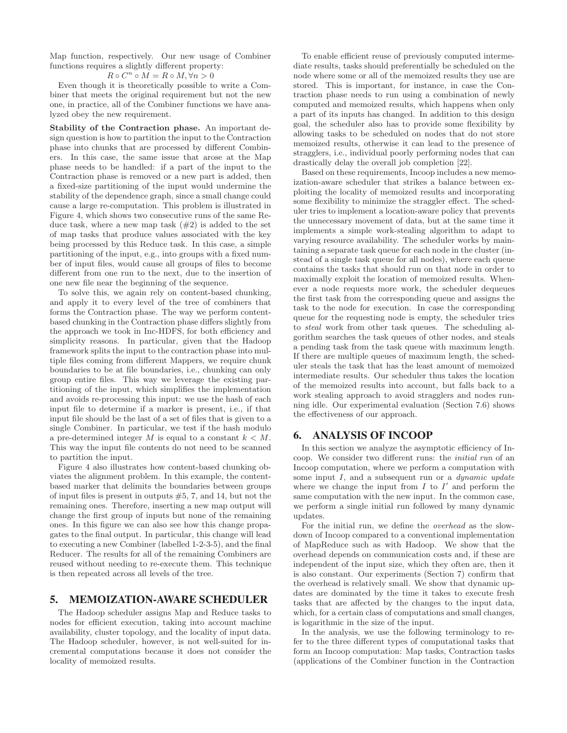Map function, respectively. Our new usage of Combiner functions requires a slightly different property:

 $R \circ C^n \circ M = R \circ M, \forall n > 0$ 

Even though it is theoretically possible to write a Combiner that meets the original requirement but not the new one, in practice, all of the Combiner functions we have analyzed obey the new requirement.

Stability of the Contraction phase. An important design question is how to partition the input to the Contraction phase into chunks that are processed by different Combiners. In this case, the same issue that arose at the Map phase needs to be handled: if a part of the input to the Contraction phase is removed or a new part is added, then a fixed-size partitioning of the input would undermine the stability of the dependence graph, since a small change could cause a large re-computation. This problem is illustrated in Figure 4, which shows two consecutive runs of the same Reduce task, where a new map task  $(\#2)$  is added to the set of map tasks that produce values associated with the key being processed by this Reduce task. In this case, a simple partitioning of the input, e.g., into groups with a fixed number of input files, would cause all groups of files to become different from one run to the next, due to the insertion of one new file near the beginning of the sequence.

To solve this, we again rely on content-based chunking, and apply it to every level of the tree of combiners that forms the Contraction phase. The way we perform contentbased chunking in the Contraction phase differs slightly from the approach we took in Inc-HDFS, for both efficiency and simplicity reasons. In particular, given that the Hadoop framework splits the input to the contraction phase into multiple files coming from different Mappers, we require chunk boundaries to be at file boundaries, i.e., chunking can only group entire files. This way we leverage the existing partitioning of the input, which simplifies the implementation and avoids re-processing this input: we use the hash of each input file to determine if a marker is present, i.e., if that input file should be the last of a set of files that is given to a single Combiner. In particular, we test if the hash modulo a pre-determined integer M is equal to a constant  $k < M$ . This way the input file contents do not need to be scanned to partition the input.

Figure 4 also illustrates how content-based chunking obviates the alignment problem. In this example, the contentbased marker that delimits the boundaries between groups of input files is present in outputs  $#5, 7$ , and 14, but not the remaining ones. Therefore, inserting a new map output will change the first group of inputs but none of the remaining ones. In this figure we can also see how this change propagates to the final output. In particular, this change will lead to executing a new Combiner (labelled 1-2-3-5), and the final Reducer. The results for all of the remaining Combiners are reused without needing to re-execute them. This technique is then repeated across all levels of the tree.

## **5. MEMOIZATION-AWARE SCHEDULER**

The Hadoop scheduler assigns Map and Reduce tasks to nodes for efficient execution, taking into account machine availability, cluster topology, and the locality of input data. The Hadoop scheduler, however, is not well-suited for incremental computations because it does not consider the locality of memoized results.

To enable efficient reuse of previously computed intermediate results, tasks should preferentially be scheduled on the node where some or all of the memoized results they use are stored. This is important, for instance, in case the Contraction phase needs to run using a combination of newly computed and memoized results, which happens when only a part of its inputs has changed. In addition to this design goal, the scheduler also has to provide some flexibility by allowing tasks to be scheduled on nodes that do not store memoized results, otherwise it can lead to the presence of stragglers, i.e., individual poorly performing nodes that can drastically delay the overall job completion [22].

Based on these requirements, Incoop includes a new memoization-aware scheduler that strikes a balance between exploiting the locality of memoized results and incorporating some flexibility to minimize the straggler effect. The scheduler tries to implement a location-aware policy that prevents the unnecessary movement of data, but at the same time it implements a simple work-stealing algorithm to adapt to varying resource availability. The scheduler works by maintaining a separate task queue for each node in the cluster (instead of a single task queue for all nodes), where each queue contains the tasks that should run on that node in order to maximally exploit the location of memoized results. Whenever a node requests more work, the scheduler dequeues the first task from the corresponding queue and assigns the task to the node for execution. In case the corresponding queue for the requesting node is empty, the scheduler tries to steal work from other task queues. The scheduling algorithm searches the task queues of other nodes, and steals a pending task from the task queue with maximum length. If there are multiple queues of maximum length, the scheduler steals the task that has the least amount of memoized intermediate results. Our scheduler thus takes the location of the memoized results into account, but falls back to a work stealing approach to avoid stragglers and nodes running idle. Our experimental evaluation (Section 7.6) shows the effectiveness of our approach.

# **6. ANALYSIS OF INCOOP**

In this section we analyze the asymptotic efficiency of Incoop. We consider two different runs: the initial run of an Incoop computation, where we perform a computation with some input  $I$ , and a subsequent run or a *dynamic update* where we change the input from  $I$  to  $I'$  and perform the same computation with the new input. In the common case, we perform a single initial run followed by many dynamic updates.

For the initial run, we define the overhead as the slowdown of Incoop compared to a conventional implementation of MapReduce such as with Hadoop. We show that the overhead depends on communication costs and, if these are independent of the input size, which they often are, then it is also constant. Our experiments (Section 7) confirm that the overhead is relatively small. We show that dynamic updates are dominated by the time it takes to execute fresh tasks that are affected by the changes to the input data, which, for a certain class of computations and small changes, is logarithmic in the size of the input.

In the analysis, we use the following terminology to refer to the three different types of computational tasks that form an Incoop computation: Map tasks, Contraction tasks (applications of the Combiner function in the Contraction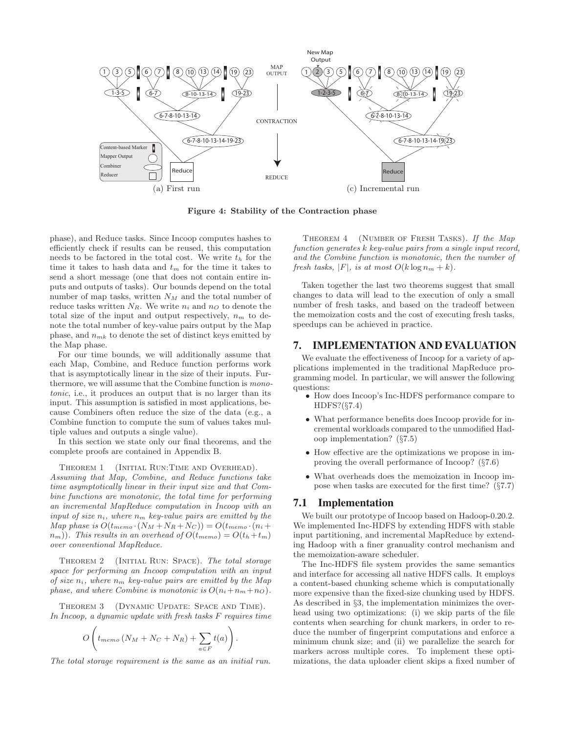

Figure 4: Stability of the Contraction phase

phase), and Reduce tasks. Since Incoop computes hashes to efficiently check if results can be reused, this computation needs to be factored in the total cost. We write  $t<sub>h</sub>$  for the time it takes to hash data and  $t_m$  for the time it takes to send a short message (one that does not contain entire inputs and outputs of tasks). Our bounds depend on the total number of map tasks, written  $N_M$  and the total number of reduce tasks written  $N_R$ . We write  $n_i$  and  $n_O$  to denote the total size of the input and output respectively,  $n<sub>m</sub>$  to denote the total number of key-value pairs output by the Map phase, and  $n_{mk}$  to denote the set of distinct keys emitted by the Map phase.

For our time bounds, we will additionally assume that each Map, Combine, and Reduce function performs work that is asymptotically linear in the size of their inputs. Furthermore, we will assume that the Combine function is monotonic, i.e., it produces an output that is no larger than its input. This assumption is satisfied in most applications, because Combiners often reduce the size of the data (e.g., a Combine function to compute the sum of values takes multiple values and outputs a single value).

In this section we state only our final theorems, and the complete proofs are contained in Appendix B.

THEOREM 1 (INITIAL RUN:TIME AND OVERHEAD).

Assuming that Map, Combine, and Reduce functions take time asymptotically linear in their input size and that Combine functions are monotonic, the total time for performing an incremental MapReduce computation in Incoop with an input of size  $n_i$ , where  $n_m$  key-value pairs are emitted by the Map phase is  $O(t_{memo} \cdot (N_M + N_R + N_C)) = O(t_{memo} \cdot (n_i +$  $(n_m)$ ). This results in an overhead of  $O(t_{memo}) = O(t_h + t_m)$ over conventional MapReduce.

THEOREM 2 (INITIAL RUN: SPACE). The total storage space for performing an Incoop computation with an input of size  $n_i$ , where  $n_m$  key-value pairs are emitted by the Map phase, and where Combine is monotonic is  $O(n_i+n_m+n_O)$ .

Theorem 3 (Dynamic Update: Space and Time). In Incoop, a dynamic update with fresh tasks F requires time

$$
O\left(t_{memo}\left(N_M+N_C+N_R\right)+\sum_{a\in F}t(a)\right).
$$

The total storage requirement is the same as an initial run.

THEOREM 4 (NUMBER OF FRESH TASKS). If the Map function generates k key-value pairs from a single input record, and the Combine function is monotonic, then the number of fresh tasks,  $|F|$ , is at most  $O(k \log n_m + k)$ .

Taken together the last two theorems suggest that small changes to data will lead to the execution of only a small number of fresh tasks, and based on the tradeoff between the memoization costs and the cost of executing fresh tasks, speedups can be achieved in practice.

## **7. IMPLEMENTATION AND EVALUATION**

We evaluate the effectiveness of Incoop for a variety of applications implemented in the traditional MapReduce programming model. In particular, we will answer the following questions:

- How does Incoop's Inc-HDFS performance compare to HDFS?(§7.4)
- What performance benefits does Incoop provide for incremental workloads compared to the unmodified Hadoop implementation? (§7.5)
- How effective are the optimizations we propose in improving the overall performance of Incoop? (§7.6)
- What overheads does the memoization in Incoop impose when tasks are executed for the first time? (§7.7)

#### **7.1 Implementation**

We built our prototype of Incoop based on Hadoop-0.20.2. We implemented Inc-HDFS by extending HDFS with stable input partitioning, and incremental MapReduce by extending Hadoop with a finer granuality control mechanism and the memoization-aware scheduler.

The Inc-HDFS file system provides the same semantics and interface for accessing all native HDFS calls. It employs a content-based chunking scheme which is computationally more expensive than the fixed-size chunking used by HDFS. As described in §3, the implementation minimizes the overhead using two optimizations: (i) we skip parts of the file contents when searching for chunk markers, in order to reduce the number of fingerprint computations and enforce a minimum chunk size; and (ii) we parallelize the search for markers across multiple cores. To implement these optimizations, the data uploader client skips a fixed number of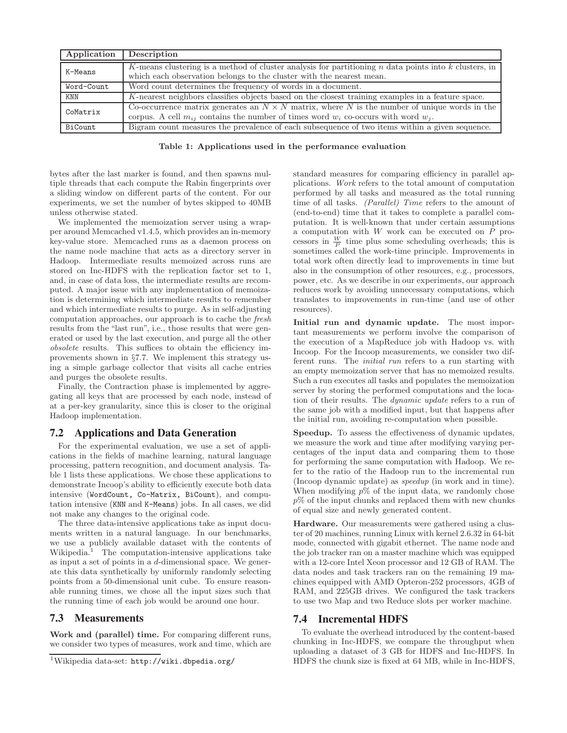| Application | Description                                                                                                                                                                                        |  |  |
|-------------|----------------------------------------------------------------------------------------------------------------------------------------------------------------------------------------------------|--|--|
| K-Means     | K-means clustering is a method of cluster analysis for partitioning $n$ data points into $k$ clusters, in<br>which each observation belongs to the cluster with the nearest mean.                  |  |  |
| Word-Count  | Word count determines the frequency of words in a document.                                                                                                                                        |  |  |
| KNN         | K-nearest neighbors classifies objects based on the closest training examples in a feature space.                                                                                                  |  |  |
| CoMatrix    | Co-occurrence matrix generates an $N \times N$ matrix, where N is the number of unique words in the<br>corpus. A cell $m_{ij}$ contains the number of times word $w_i$ co-occurs with word $w_i$ . |  |  |
| BiCount     | Bigram count measures the prevalence of each subsequence of two items within a given sequence.                                                                                                     |  |  |

Table 1: Applications used in the performance evaluation

bytes after the last marker is found, and then spawns multiple threads that each compute the Rabin fingerprints over a sliding window on different parts of the content. For our experiments, we set the number of bytes skipped to 40MB unless otherwise stated.

We implemented the memoization server using a wrapper around Memcached v1.4.5, which provides an in-memory key-value store. Memcached runs as a daemon process on the name node machine that acts as a directory server in Hadoop. Intermediate results memoized across runs are stored on Inc-HDFS with the replication factor set to 1, and, in case of data loss, the intermediate results are recomputed. A major issue with any implementation of memoization is determining which intermediate results to remember and which intermediate results to purge. As in self-adjusting computation approaches, our approach is to cache the fresh results from the "last run", i.e., those results that were generated or used by the last execution, and purge all the other obsolete results. This suffices to obtain the efficiency improvements shown in §7.7. We implement this strategy using a simple garbage collector that visits all cache entries and purges the obsolete results.

Finally, the Contraction phase is implemented by aggregating all keys that are processed by each node, instead of at a per-key granularity, since this is closer to the original Hadoop implementation.

## **7.2 Applications and Data Generation**

For the experimental evaluation, we use a set of applications in the fields of machine learning, natural language processing, pattern recognition, and document analysis. Table 1 lists these applications. We chose these applications to demonstrate Incoop's ability to efficiently execute both data intensive (WordCount, Co-Matrix, BiCount), and computation intensive (KNN and K-Means) jobs. In all cases, we did not make any changes to the original code.

The three data-intensive applications take as input documents written in a natural language. In our benchmarks, we use a publicly available dataset with the contents of Wikipedia.<sup>1</sup> The computation-intensive applications take as input a set of points in a d-dimensional space. We generate this data synthetically by uniformly randomly selecting points from a 50-dimensional unit cube. To ensure reasonable running times, we chose all the input sizes such that the running time of each job would be around one hour.

## **7.3 Measurements**

Work and (parallel) time. For comparing different runs, we consider two types of measures, work and time, which are standard measures for comparing efficiency in parallel applications. Work refers to the total amount of computation performed by all tasks and measured as the total running time of all tasks. (Parallel) Time refers to the amount of (end-to-end) time that it takes to complete a parallel computation. It is well-known that under certain assumptions a computation with W work can be executed on P processors in  $\frac{W}{P}$  time plus some scheduling overheads; this is sometimes called the work-time principle. Improvements in total work often directly lead to improvements in time but also in the consumption of other resources, e.g., processors, power, etc. As we describe in our experiments, our approach reduces work by avoiding unnecessary computations, which translates to improvements in run-time (and use of other resources).

Initial run and dynamic update. The most important measurements we perform involve the comparison of the execution of a MapReduce job with Hadoop vs. with Incoop. For the Incoop measurements, we consider two different runs. The initial run refers to a run starting with an empty memoization server that has no memoized results. Such a run executes all tasks and populates the memoization server by storing the performed computations and the location of their results. The dynamic update refers to a run of the same job with a modified input, but that happens after the initial run, avoiding re-computation when possible.

Speedup. To assess the effectiveness of dynamic updates, we measure the work and time after modifying varying percentages of the input data and comparing them to those for performing the same computation with Hadoop. We refer to the ratio of the Hadoop run to the incremental run (Incoop dynamic update) as speedup (in work and in time). When modifying  $p\%$  of the input data, we randomly chose  $p\%$  of the input chunks and replaced them with new chunks of equal size and newly generated content.

Hardware. Our measurements were gathered using a cluster of 20 machines, running Linux with kernel 2.6.32 in 64-bit mode, connected with gigabit ethernet. The name node and the job tracker ran on a master machine which was equipped with a 12-core Intel Xeon processor and 12 GB of RAM. The data nodes and task trackers ran on the remaining 19 machines equipped with AMD Opteron-252 processors, 4GB of RAM, and 225GB drives. We configured the task trackers to use two Map and two Reduce slots per worker machine.

# **7.4 Incremental HDFS**

To evaluate the overhead introduced by the content-based chunking in Inc-HDFS, we compare the throughput when uploading a dataset of 3 GB for HDFS and Inc-HDFS. In HDFS the chunk size is fixed at 64 MB, while in Inc-HDFS,

<sup>1</sup>Wikipedia data-set: http://wiki.dbpedia.org/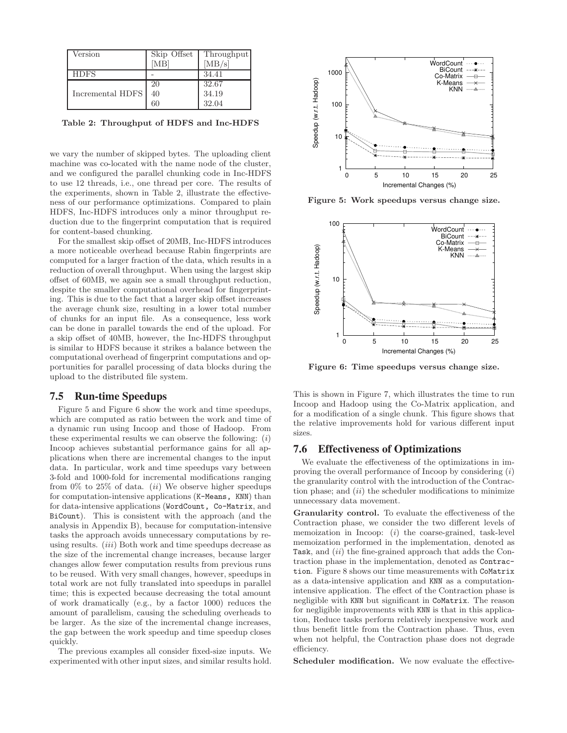| Version          | Skip Offset<br>$[M\dot{B}]$ | Throughput<br>[MB/s] |
|------------------|-----------------------------|----------------------|
| <b>HDFS</b>      |                             | 34.41                |
|                  | 20                          | 32.67                |
| Incremental HDFS | 40                          | 34.19                |
|                  | 60                          | 32.04                |

Table 2: Throughput of HDFS and Inc-HDFS

we vary the number of skipped bytes. The uploading client machine was co-located with the name node of the cluster, and we configured the parallel chunking code in Inc-HDFS to use 12 threads, i.e., one thread per core. The results of the experiments, shown in Table 2, illustrate the effectiveness of our performance optimizations. Compared to plain HDFS, Inc-HDFS introduces only a minor throughput reduction due to the fingerprint computation that is required for content-based chunking.

For the smallest skip offset of 20MB, Inc-HDFS introduces a more noticeable overhead because Rabin fingerprints are computed for a larger fraction of the data, which results in a reduction of overall throughput. When using the largest skip offset of 60MB, we again see a small throughput reduction, despite the smaller computational overhead for fingerprinting. This is due to the fact that a larger skip offset increases the average chunk size, resulting in a lower total number of chunks for an input file. As a consequence, less work can be done in parallel towards the end of the upload. For a skip offset of 40MB, however, the Inc-HDFS throughput is similar to HDFS because it strikes a balance between the computational overhead of fingerprint computations and opportunities for parallel processing of data blocks during the upload to the distributed file system.

## **7.5 Run-time Speedups**

Figure 5 and Figure 6 show the work and time speedups, which are computed as ratio between the work and time of a dynamic run using Incoop and those of Hadoop. From these experimental results we can observe the following:  $(i)$ Incoop achieves substantial performance gains for all applications when there are incremental changes to the input data. In particular, work and time speedups vary between 3-fold and 1000-fold for incremental modifications ranging from  $0\%$  to  $25\%$  of data. *(ii)* We observe higher speedups for computation-intensive applications (K-Means, KNN) than for data-intensive applications (WordCount, Co-Matrix, and BiCount). This is consistent with the approach (and the analysis in Appendix B), because for computation-intensive tasks the approach avoids unnecessary computations by reusing results. *(iii)* Both work and time speedups decrease as the size of the incremental change increases, because larger changes allow fewer computation results from previous runs to be reused. With very small changes, however, speedups in total work are not fully translated into speedups in parallel time; this is expected because decreasing the total amount of work dramatically (e.g., by a factor 1000) reduces the amount of parallelism, causing the scheduling overheads to be larger. As the size of the incremental change increases, the gap between the work speedup and time speedup closes quickly.

The previous examples all consider fixed-size inputs. We experimented with other input sizes, and similar results hold.



Figure 5: Work speedups versus change size.



Figure 6: Time speedups versus change size.

This is shown in Figure 7, which illustrates the time to run Incoop and Hadoop using the Co-Matrix application, and for a modification of a single chunk. This figure shows that the relative improvements hold for various different input sizes.

#### **7.6 Effectiveness of Optimizations**

We evaluate the effectiveness of the optimizations in improving the overall performance of Incoop by considering  $(i)$ the granularity control with the introduction of the Contraction phase; and  $(ii)$  the scheduler modifications to minimize unnecessary data movement.

Granularity control. To evaluate the effectiveness of the Contraction phase, we consider the two different levels of memoization in Incoop:  $(i)$  the coarse-grained, task-level memoization performed in the implementation, denoted as Task, and  $(ii)$  the fine-grained approach that adds the Contraction phase in the implementation, denoted as Contraction. Figure 8 shows our time measurements with CoMatrix as a data-intensive application and KNN as a computationintensive application. The effect of the Contraction phase is negligible with KNN but significant in CoMatrix. The reason for negligible improvements with KNN is that in this application, Reduce tasks perform relatively inexpensive work and thus benefit little from the Contraction phase. Thus, even when not helpful, the Contraction phase does not degrade efficiency.

Scheduler modification. We now evaluate the effective-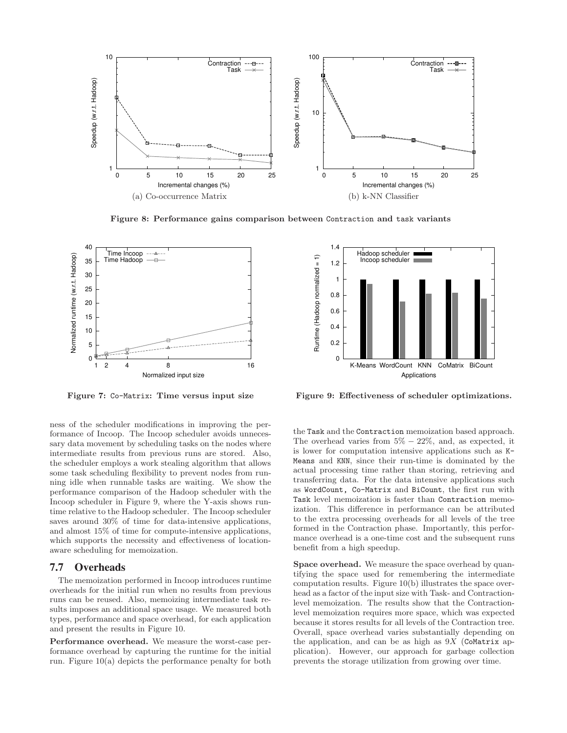

Figure 8: Performance gains comparison between Contraction and task variants



Figure 7: Co-Matrix: Time versus input size

ness of the scheduler modifications in improving the performance of Incoop. The Incoop scheduler avoids unnecessary data movement by scheduling tasks on the nodes where intermediate results from previous runs are stored. Also, the scheduler employs a work stealing algorithm that allows some task scheduling flexibility to prevent nodes from running idle when runnable tasks are waiting. We show the performance comparison of the Hadoop scheduler with the Incoop scheduler in Figure 9, where the Y-axis shows runtime relative to the Hadoop scheduler. The Incoop scheduler saves around 30% of time for data-intensive applications, and almost 15% of time for compute-intensive applications, which supports the necessity and effectiveness of locationaware scheduling for memoization.

## **7.7 Overheads**

The memoization performed in Incoop introduces runtime overheads for the initial run when no results from previous runs can be reused. Also, memoizing intermediate task results imposes an additional space usage. We measured both types, performance and space overhead, for each application and present the results in Figure 10.

Performance overhead. We measure the worst-case performance overhead by capturing the runtime for the initial run. Figure 10(a) depicts the performance penalty for both



Figure 9: Effectiveness of scheduler optimizations.

the Task and the Contraction memoization based approach. The overhead varies from  $5\% - 22\%$ , and, as expected, it is lower for computation intensive applications such as K-Means and KNN, since their run-time is dominated by the actual processing time rather than storing, retrieving and transferring data. For the data intensive applications such as WordCount, Co-Matrix and BiCount, the first run with Task level memoization is faster than Contraction memoization. This difference in performance can be attributed to the extra processing overheads for all levels of the tree formed in the Contraction phase. Importantly, this performance overhead is a one-time cost and the subsequent runs benefit from a high speedup.

Space overhead. We measure the space overhead by quantifying the space used for remembering the intermediate computation results. Figure 10(b) illustrates the space overhead as a factor of the input size with Task- and Contractionlevel memoization. The results show that the Contractionlevel memoization requires more space, which was expected because it stores results for all levels of the Contraction tree. Overall, space overhead varies substantially depending on the application, and can be as high as  $9X$  (CoMatrix application). However, our approach for garbage collection prevents the storage utilization from growing over time.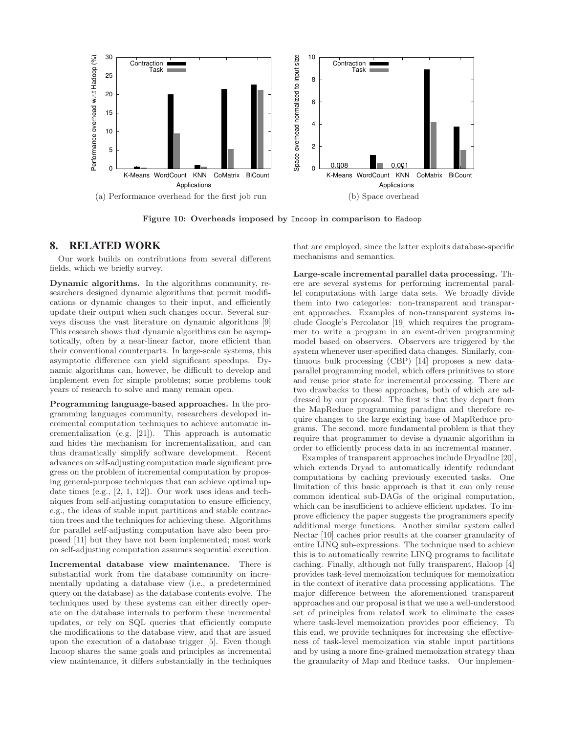

Figure 10: Overheads imposed by Incoop in comparison to Hadoop

# **8. RELATED WORK**

Our work builds on contributions from several different fields, which we briefly survey.

Dynamic algorithms. In the algorithms community, researchers designed dynamic algorithms that permit modifications or dynamic changes to their input, and efficiently update their output when such changes occur. Several surveys discuss the vast literature on dynamic algorithms [9] This research shows that dynamic algorithms can be asymptotically, often by a near-linear factor, more efficient than their conventional counterparts. In large-scale systems, this asymptotic difference can yield significant speedups. Dynamic algorithms can, however, be difficult to develop and implement even for simple problems; some problems took years of research to solve and many remain open.

Programming language-based approaches. In the programming languages community, researchers developed incremental computation techniques to achieve automatic incrementalization (e.g. [21]). This approach is automatic and hides the mechanism for incrementalization, and can thus dramatically simplify software development. Recent advances on self-adjusting computation made significant progress on the problem of incremental computation by proposing general-purpose techniques that can achieve optimal update times (e.g., [2, 1, 12]). Our work uses ideas and techniques from self-adjusting computation to ensure efficiency, e.g., the ideas of stable input partitions and stable contraction trees and the techniques for achieving these. Algorithms for parallel self-adjusting computation have also been proposed [11] but they have not been implemented; most work on self-adjusting computation assumes sequential execution.

Incremental database view maintenance. There is substantial work from the database community on incrementally updating a database view (i.e., a predetermined query on the database) as the database contents evolve. The techniques used by these systems can either directly operate on the database internals to perform these incremental updates, or rely on SQL queries that efficiently compute the modifications to the database view, and that are issued upon the execution of a database trigger [5]. Even though Incoop shares the same goals and principles as incremental view maintenance, it differs substantially in the techniques that are employed, since the latter exploits database-specific mechanisms and semantics.

Large-scale incremental parallel data processing. There are several systems for performing incremental parallel computations with large data sets. We broadly divide them into two categories: non-transparent and transparent approaches. Examples of non-transparent systems include Google's Percolator [19] which requires the programmer to write a program in an event-driven programming model based on observers. Observers are triggered by the system whenever user-specified data changes. Similarly, continuous bulk processing (CBP) [14] proposes a new dataparallel programming model, which offers primitives to store and reuse prior state for incremental processing. There are two drawbacks to these approaches, both of which are addressed by our proposal. The first is that they depart from the MapReduce programming paradigm and therefore require changes to the large existing base of MapReduce programs. The second, more fundamental problem is that they require that programmer to devise a dynamic algorithm in order to efficiently process data in an incremental manner.

Examples of transparent approaches include DryadInc [20], which extends Dryad to automatically identify redundant computations by caching previously executed tasks. One limitation of this basic approach is that it can only reuse common identical sub-DAGs of the original computation, which can be insufficient to achieve efficient updates. To improve efficiency the paper suggests the programmers specify additional merge functions. Another similar system called Nectar [10] caches prior results at the coarser granularity of entire LINQ sub-expressions. The technique used to achieve this is to automatically rewrite LINQ programs to facilitate caching. Finally, although not fully transparent, Haloop [4] provides task-level memoization techniques for memoization in the context of iterative data processing applications. The major difference between the aforementioned transparent approaches and our proposal is that we use a well-understood set of principles from related work to eliminate the cases where task-level memoization provides poor efficiency. To this end, we provide techniques for increasing the effectiveness of task-level memoization via stable input partitions and by using a more fine-grained memoization strategy than the granularity of Map and Reduce tasks. Our implemen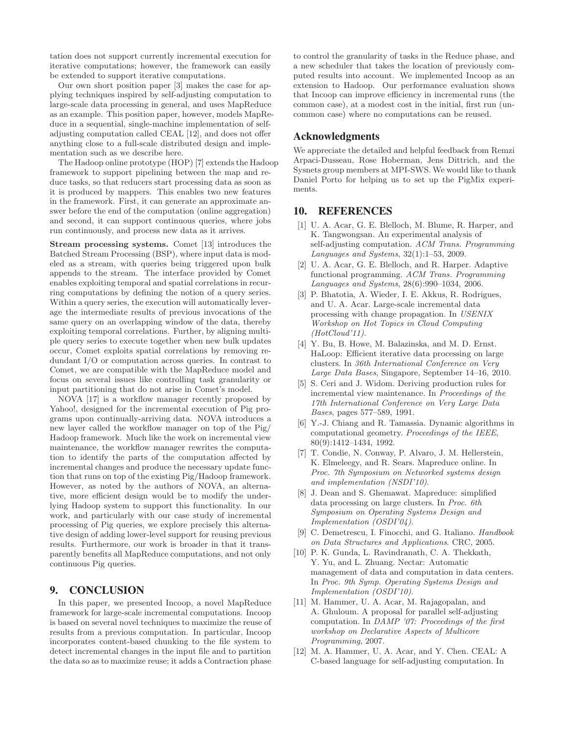tation does not support currently incremental execution for iterative computations; however, the framework can easily be extended to support iterative computations.

Our own short position paper [3] makes the case for applying techniques inspired by self-adjusting computation to large-scale data processing in general, and uses MapReduce as an example. This position paper, however, models MapReduce in a sequential, single-machine implementation of selfadjusting computation called CEAL [12], and does not offer anything close to a full-scale distributed design and implementation such as we describe here.

The Hadoop online prototype (HOP) [7] extends the Hadoop framework to support pipelining between the map and reduce tasks, so that reducers start processing data as soon as it is produced by mappers. This enables two new features in the framework. First, it can generate an approximate answer before the end of the computation (online aggregation) and second, it can support continuous queries, where jobs run continuously, and process new data as it arrives.

Stream processing systems. Comet [13] introduces the Batched Stream Processing (BSP), where input data is modeled as a stream, with queries being triggered upon bulk appends to the stream. The interface provided by Comet enables exploiting temporal and spatial correlations in recurring computations by defining the notion of a query series. Within a query series, the execution will automatically leverage the intermediate results of previous invocations of the same query on an overlapping window of the data, thereby exploiting temporal correlations. Further, by aligning multiple query series to execute together when new bulk updates occur, Comet exploits spatial correlations by removing redundant I/O or computation across queries. In contrast to Comet, we are compatible with the MapReduce model and focus on several issues like controlling task granularity or input partitioning that do not arise in Comet's model.

NOVA [17] is a workflow manager recently proposed by Yahoo!, designed for the incremental execution of Pig programs upon continually-arriving data. NOVA introduces a new layer called the workflow manager on top of the Pig/ Hadoop framework. Much like the work on incremental view maintenance, the workflow manager rewrites the computation to identify the parts of the computation affected by incremental changes and produce the necessary update function that runs on top of the existing Pig/Hadoop framework. However, as noted by the authors of NOVA, an alternative, more efficient design would be to modify the underlying Hadoop system to support this functionality. In our work, and particularly with our case study of incremental processing of Pig queries, we explore precisely this alternative design of adding lower-level support for reusing previous results. Furthermore, our work is broader in that it transparently benefits all MapReduce computations, and not only continuous Pig queries.

# **9. CONCLUSION**

In this paper, we presented Incoop, a novel MapReduce framework for large-scale incremental computations. Incoop is based on several novel techniques to maximize the reuse of results from a previous computation. In particular, Incoop incorporates content-based chunking to the file system to detect incremental changes in the input file and to partition the data so as to maximize reuse; it adds a Contraction phase

to control the granularity of tasks in the Reduce phase, and a new scheduler that takes the location of previously computed results into account. We implemented Incoop as an extension to Hadoop. Our performance evaluation shows that Incoop can improve efficiency in incremental runs (the common case), at a modest cost in the initial, first run (uncommon case) where no computations can be reused.

# **Acknowledgments**

We appreciate the detailed and helpful feedback from Remzi Arpaci-Dusseau, Rose Hoberman, Jens Dittrich, and the Sysnets group members at MPI-SWS. We would like to thank Daniel Porto for helping us to set up the PigMix experiments.

# **10. REFERENCES**

- [1] U. A. Acar, G. E. Blelloch, M. Blume, R. Harper, and K. Tangwongsan. An experimental analysis of self-adjusting computation. ACM Trans. Programming Languages and Systems,  $32(1):1-53$ , 2009.
- [2] U. A. Acar, G. E. Blelloch, and R. Harper. Adaptive functional programming. ACM Trans. Programming Languages and Systems, 28(6):990–1034, 2006.
- [3] P. Bhatotia, A. Wieder, I. E. Akkus, R. Rodrigues, and U. A. Acar. Large-scale incremental data processing with change propagation. In USENIX Workshop on Hot Topics in Cloud Computing (HotCloud'11).
- [4] Y. Bu, B. Howe, M. Balazinska, and M. D. Ernst. HaLoop: Efficient iterative data processing on large clusters. In 36th International Conference on Very Large Data Bases, Singapore, September 14–16, 2010.
- [5] S. Ceri and J. Widom. Deriving production rules for incremental view maintenance. In Proceedings of the 17th International Conference on Very Large Data Bases, pages 577–589, 1991.
- [6] Y.-J. Chiang and R. Tamassia. Dynamic algorithms in computational geometry. Proceedings of the IEEE, 80(9):1412–1434, 1992.
- [7] T. Condie, N. Conway, P. Alvaro, J. M. Hellerstein, K. Elmeleegy, and R. Sears. Mapreduce online. In Proc. 7th Symposium on Networked systems design and implementation (NSDI'10).
- [8] J. Dean and S. Ghemawat. Mapreduce: simplified data processing on large clusters. In Proc. 6th Symposium on Operating Systems Design and Implementation (OSDI'04).
- [9] C. Demetrescu, I. Finocchi, and G. Italiano. Handbook on Data Structures and Applications. CRC, 2005.
- [10] P. K. Gunda, L. Ravindranath, C. A. Thekkath, Y. Yu, and L. Zhuang. Nectar: Automatic management of data and computation in data centers. In Proc. 9th Symp. Operating Systems Design and Implementation (OSDI'10).
- [11] M. Hammer, U. A. Acar, M. Rajagopalan, and A. Ghuloum. A proposal for parallel self-adjusting computation. In DAMP '07: Proceedings of the first workshop on Declarative Aspects of Multicore Programming, 2007.
- [12] M. A. Hammer, U. A. Acar, and Y. Chen. CEAL: A C-based language for self-adjusting computation. In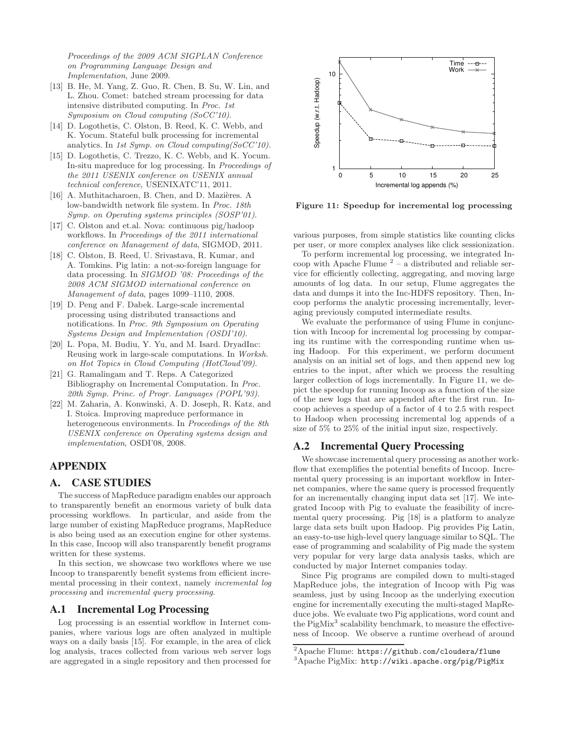Proceedings of the 2009 ACM SIGPLAN Conference on Programming Language Design and Implementation, June 2009.

- [13] B. He, M. Yang, Z. Guo, R. Chen, B. Su, W. Lin, and L. Zhou. Comet: batched stream processing for data intensive distributed computing. In Proc. 1st Symposium on Cloud computing (SoCC'10).
- [14] D. Logothetis, C. Olston, B. Reed, K. C. Webb, and K. Yocum. Stateful bulk processing for incremental analytics. In 1st Symp. on Cloud computing(SoCC'10).
- [15] D. Logothetis, C. Trezzo, K. C. Webb, and K. Yocum. In-situ mapreduce for log processing. In Proceedings of the 2011 USENIX conference on USENIX annual technical conference, USENIXATC'11, 2011.
- [16] A. Muthitacharoen, B. Chen, and D. Mazières. A low-bandwidth network file system. In Proc. 18th Symp. on Operating systems principles (SOSP'01).
- [17] C. Olston and et.al. Nova: continuous pig/hadoop workflows. In Proceedings of the 2011 international conference on Management of data, SIGMOD, 2011.
- [18] C. Olston, B. Reed, U. Srivastava, R. Kumar, and A. Tomkins. Pig latin: a not-so-foreign language for data processing. In SIGMOD '08: Proceedings of the 2008 ACM SIGMOD international conference on Management of data, pages 1099–1110, 2008.
- [19] D. Peng and F. Dabek. Large-scale incremental processing using distributed transactions and notifications. In Proc. 9th Symposium on Operating Systems Design and Implementation (OSDI'10).
- [20] L. Popa, M. Budiu, Y. Yu, and M. Isard. DryadInc: Reusing work in large-scale computations. In Worksh. on Hot Topics in Cloud Computing (HotCloud'09).
- [21] G. Ramalingam and T. Reps. A Categorized Bibliography on Incremental Computation. In Proc. 20th Symp. Princ. of Progr. Languages (POPL'93).
- [22] M. Zaharia, A. Konwinski, A. D. Joseph, R. Katz, and I. Stoica. Improving mapreduce performance in heterogeneous environments. In Proceedings of the 8th USENIX conference on Operating systems design and implementation, OSDI'08, 2008.

# **APPENDIX**

# **A. CASE STUDIES**

The success of MapReduce paradigm enables our approach to transparently benefit an enormous variety of bulk data processing workflows. In particular, and aside from the large number of existing MapReduce programs, MapReduce is also being used as an execution engine for other systems. In this case, Incoop will also transparently benefit programs written for these systems.

In this section, we showcase two workflows where we use Incoop to transparently benefit systems from efficient incremental processing in their context, namely incremental log processing and incremental query processing.

# **A.1 Incremental Log Processing**

Log processing is an essential workflow in Internet companies, where various logs are often analyzed in multiple ways on a daily basis [15]. For example, in the area of click log analysis, traces collected from various web server logs are aggregated in a single repository and then processed for



Figure 11: Speedup for incremental log processing

various purposes, from simple statistics like counting clicks per user, or more complex analyses like click sessionization.

To perform incremental log processing, we integrated Incoop with Apache Flume  $2 - a$  distributed and reliable service for efficiently collecting, aggregating, and moving large amounts of log data. In our setup, Flume aggregates the data and dumps it into the Inc-HDFS repository. Then, Incoop performs the analytic processing incrementally, leveraging previously computed intermediate results.

We evaluate the performance of using Flume in conjunction with Incoop for incremental log processing by comparing its runtime with the corresponding runtime when using Hadoop. For this experiment, we perform document analysis on an initial set of logs, and then append new log entries to the input, after which we process the resulting larger collection of logs incrementally. In Figure 11, we depict the speedup for running Incoop as a function of the size of the new logs that are appended after the first run. Incoop achieves a speedup of a factor of 4 to 2.5 with respect to Hadoop when processing incremental log appends of a size of 5% to 25% of the initial input size, respectively.

# **A.2 Incremental Query Processing**

We showcase incremental query processing as another workflow that exemplifies the potential benefits of Incoop. Incremental query processing is an important workflow in Internet companies, where the same query is processed frequently for an incrementally changing input data set [17]. We integrated Incoop with Pig to evaluate the feasibility of incremental query processing. Pig [18] is a platform to analyze large data sets built upon Hadoop. Pig provides Pig Latin, an easy-to-use high-level query language similar to SQL. The ease of programming and scalability of Pig made the system very popular for very large data analysis tasks, which are conducted by major Internet companies today.

Since Pig programs are compiled down to multi-staged MapReduce jobs, the integration of Incoop with Pig was seamless, just by using Incoop as the underlying execution engine for incrementally executing the multi-staged MapReduce jobs. We evaluate two Pig applications, word count and the PigMix<sup>3</sup> scalability benchmark, to measure the effectiveness of Incoop. We observe a runtime overhead of around

 $2^2$ Apache Flume: https://github.com/cloudera/flume

<sup>3</sup>Apache PigMix: http://wiki.apache.org/pig/PigMix